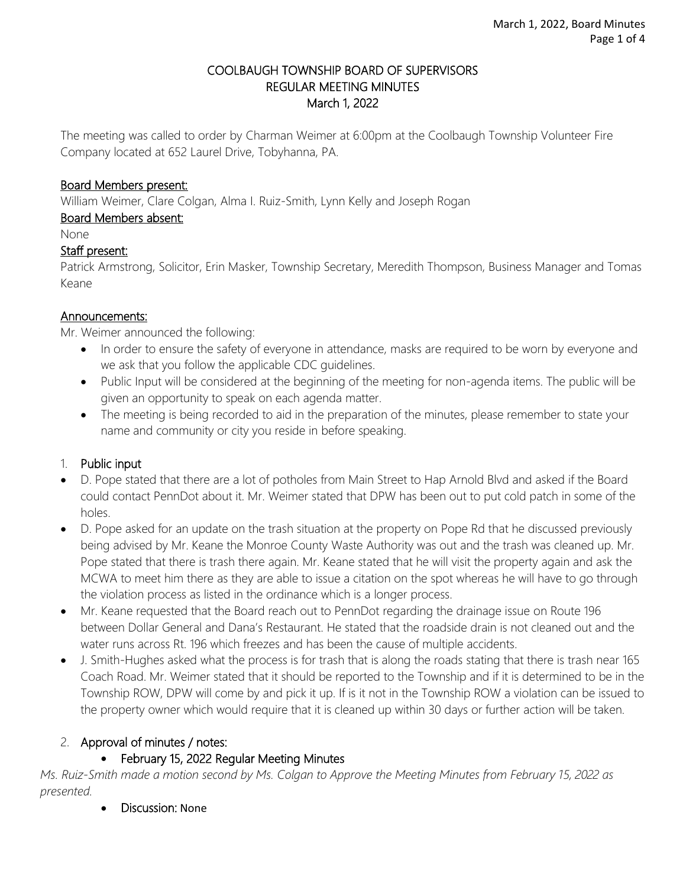#### COOLBAUGH TOWNSHIP BOARD OF SUPERVISORS REGULAR MEETING MINUTES March 1, 2022

The meeting was called to order by Charman Weimer at 6:00pm at the Coolbaugh Township Volunteer Fire Company located at 652 Laurel Drive, Tobyhanna, PA.

#### Board Members present:

William Weimer, Clare Colgan, Alma I. Ruiz-Smith, Lynn Kelly and Joseph Rogan

### Board Members absent:

None

### Staff present:

Patrick Armstrong, Solicitor, Erin Masker, Township Secretary, Meredith Thompson, Business Manager and Tomas Keane

### Announcements:

Mr. Weimer announced the following:

- In order to ensure the safety of everyone in attendance, masks are required to be worn by everyone and we ask that you follow the applicable CDC guidelines.
- Public Input will be considered at the beginning of the meeting for non-agenda items. The public will be given an opportunity to speak on each agenda matter.
- The meeting is being recorded to aid in the preparation of the minutes, please remember to state your name and community or city you reside in before speaking.

# 1. Public input

- D. Pope stated that there are a lot of potholes from Main Street to Hap Arnold Blvd and asked if the Board could contact PennDot about it. Mr. Weimer stated that DPW has been out to put cold patch in some of the holes.
- D. Pope asked for an update on the trash situation at the property on Pope Rd that he discussed previously being advised by Mr. Keane the Monroe County Waste Authority was out and the trash was cleaned up. Mr. Pope stated that there is trash there again. Mr. Keane stated that he will visit the property again and ask the MCWA to meet him there as they are able to issue a citation on the spot whereas he will have to go through the violation process as listed in the ordinance which is a longer process.
- Mr. Keane requested that the Board reach out to PennDot regarding the drainage issue on Route 196 between Dollar General and Dana's Restaurant. He stated that the roadside drain is not cleaned out and the water runs across Rt. 196 which freezes and has been the cause of multiple accidents.
- J. Smith-Hughes asked what the process is for trash that is along the roads stating that there is trash near 165 Coach Road. Mr. Weimer stated that it should be reported to the Township and if it is determined to be in the Township ROW, DPW will come by and pick it up. If is it not in the Township ROW a violation can be issued to the property owner which would require that it is cleaned up within 30 days or further action will be taken.

# 2. Approval of minutes / notes:

# • February 15, 2022 Regular Meeting Minutes

*Ms. Ruiz-Smith made a motion second by Ms. Colgan to Approve the Meeting Minutes from February 15, 2022 as presented.* 

• Discussion: None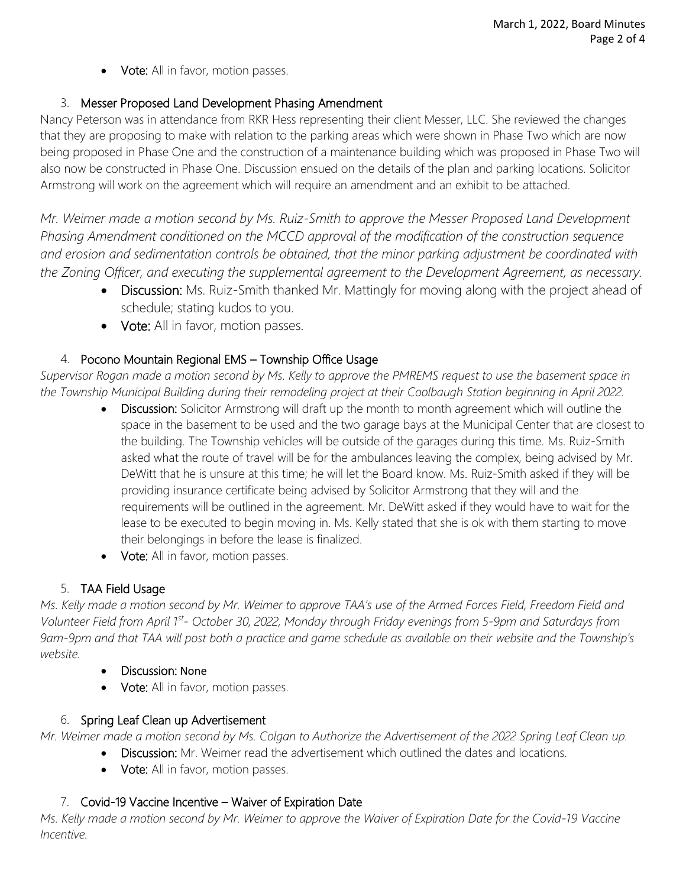• Vote: All in favor, motion passes.

### 3. Messer Proposed Land Development Phasing Amendment

Nancy Peterson was in attendance from RKR Hess representing their client Messer, LLC. She reviewed the changes that they are proposing to make with relation to the parking areas which were shown in Phase Two which are now being proposed in Phase One and the construction of a maintenance building which was proposed in Phase Two will also now be constructed in Phase One. Discussion ensued on the details of the plan and parking locations. Solicitor Armstrong will work on the agreement which will require an amendment and an exhibit to be attached.

*Mr. Weimer made a motion second by Ms. Ruiz-Smith to approve the Messer Proposed Land Development Phasing Amendment conditioned on the MCCD approval of the modification of the construction sequence and erosion and sedimentation controls be obtained, that the minor parking adjustment be coordinated with the Zoning Officer, and executing the supplemental agreement to the Development Agreement, as necessary.*

- Discussion: Ms. Ruiz-Smith thanked Mr. Mattingly for moving along with the project ahead of schedule; stating kudos to you.
- Vote: All in favor, motion passes.

### 4. Pocono Mountain Regional EMS – Township Office Usage

*Supervisor Rogan made a motion second by Ms. Kelly to approve the PMREMS request to use the basement space in the Township Municipal Building during their remodeling project at their Coolbaugh Station beginning in April 2022.*

- Discussion: Solicitor Armstrong will draft up the month to month agreement which will outline the space in the basement to be used and the two garage bays at the Municipal Center that are closest to the building. The Township vehicles will be outside of the garages during this time. Ms. Ruiz-Smith asked what the route of travel will be for the ambulances leaving the complex, being advised by Mr. DeWitt that he is unsure at this time; he will let the Board know. Ms. Ruiz-Smith asked if they will be providing insurance certificate being advised by Solicitor Armstrong that they will and the requirements will be outlined in the agreement. Mr. DeWitt asked if they would have to wait for the lease to be executed to begin moving in. Ms. Kelly stated that she is ok with them starting to move their belongings in before the lease is finalized.
- Vote: All in favor, motion passes.

# 5. TAA Field Usage

*Ms. Kelly made a motion second by Mr. Weimer to approve TAA's use of the Armed Forces Field, Freedom Field and Volunteer Field from April 1st - October 30, 2022, Monday through Friday evenings from 5-9pm and Saturdays from 9am-9pm and that TAA will post both a practice and game schedule as available on their website and the Township's website.* 

- Discussion: None
- Vote: All in favor, motion passes.

# 6. Spring Leaf Clean up Advertisement

*Mr. Weimer made a motion second by Ms. Colgan to Authorize the Advertisement of the 2022 Spring Leaf Clean up.*

- Discussion: Mr. Weimer read the advertisement which outlined the dates and locations.
	- Vote: All in favor, motion passes.

# 7. Covid-19 Vaccine Incentive – Waiver of Expiration Date

*Ms. Kelly made a motion second by Mr. Weimer to approve the Waiver of Expiration Date for the Covid-19 Vaccine Incentive.*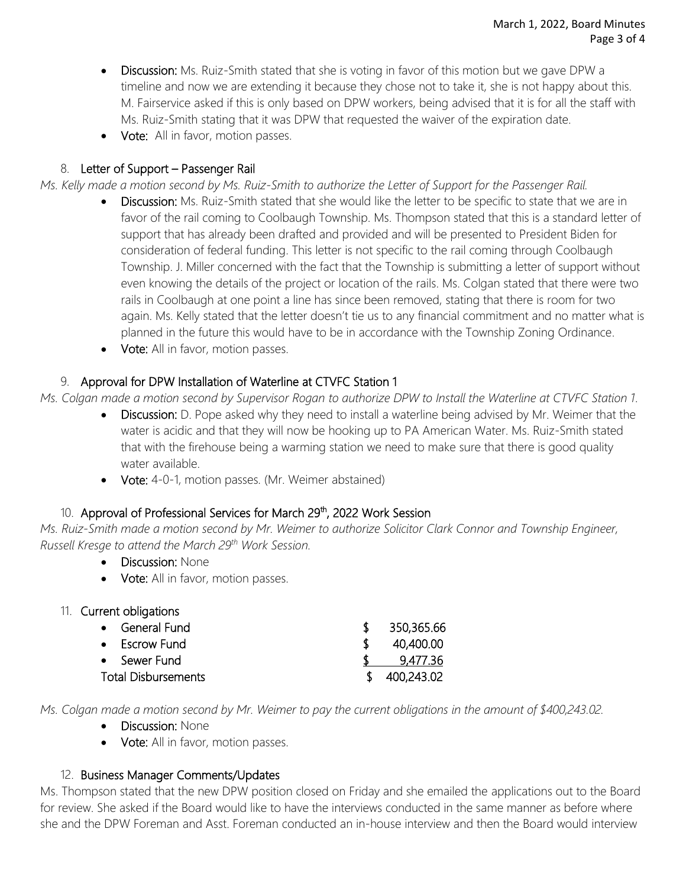- Discussion: Ms. Ruiz-Smith stated that she is voting in favor of this motion but we gave DPW a timeline and now we are extending it because they chose not to take it, she is not happy about this. M. Fairservice asked if this is only based on DPW workers, being advised that it is for all the staff with Ms. Ruiz-Smith stating that it was DPW that requested the waiver of the expiration date.
- Vote:All in favor, motion passes.

### 8. Letter of Support – Passenger Rail

*Ms. Kelly made a motion second by Ms. Ruiz-Smith to authorize the Letter of Support for the Passenger Rail.*

- **Discussion:** Ms. Ruiz-Smith stated that she would like the letter to be specific to state that we are in favor of the rail coming to Coolbaugh Township. Ms. Thompson stated that this is a standard letter of support that has already been drafted and provided and will be presented to President Biden for consideration of federal funding. This letter is not specific to the rail coming through Coolbaugh Township. J. Miller concerned with the fact that the Township is submitting a letter of support without even knowing the details of the project or location of the rails. Ms. Colgan stated that there were two rails in Coolbaugh at one point a line has since been removed, stating that there is room for two again. Ms. Kelly stated that the letter doesn't tie us to any financial commitment and no matter what is planned in the future this would have to be in accordance with the Township Zoning Ordinance.
- Vote: All in favor, motion passes.

### 9. Approval for DPW Installation of Waterline at CTVFC Station 1

*Ms. Colgan made a motion second by Supervisor Rogan to authorize DPW to Install the Waterline at CTVFC Station 1.*

- Discussion: D. Pope asked why they need to install a waterline being advised by Mr. Weimer that the water is acidic and that they will now be hooking up to PA American Water. Ms. Ruiz-Smith stated that with the firehouse being a warming station we need to make sure that there is good quality water available.
- Vote: 4-0-1, motion passes. (Mr. Weimer abstained)

#### 10. Approval of Professional Services for March 29<sup>th</sup>, 2022 Work Session

*Ms. Ruiz-Smith made a motion second by Mr. Weimer to authorize Solicitor Clark Connor and Township Engineer, Russell Kresge to attend the March 29th Work Session.* 

- Discussion: None
- Vote: All in favor, motion passes.
- 11. Current obligations

| • General Fund             | \$350,365.66 |
|----------------------------|--------------|
| • Escrow Fund              | 40,400.00    |
| • Sewer Fund               | 9,477.36     |
| <b>Total Disbursements</b> | \$400,243.02 |

*Ms. Colgan made a motion second by Mr. Weimer to pay the current obligations in the amount of \$400,243.02.*

- Discussion: None
- Vote: All in favor, motion passes.

#### 12. Business Manager Comments/Updates

Ms. Thompson stated that the new DPW position closed on Friday and she emailed the applications out to the Board for review. She asked if the Board would like to have the interviews conducted in the same manner as before where she and the DPW Foreman and Asst. Foreman conducted an in-house interview and then the Board would interview